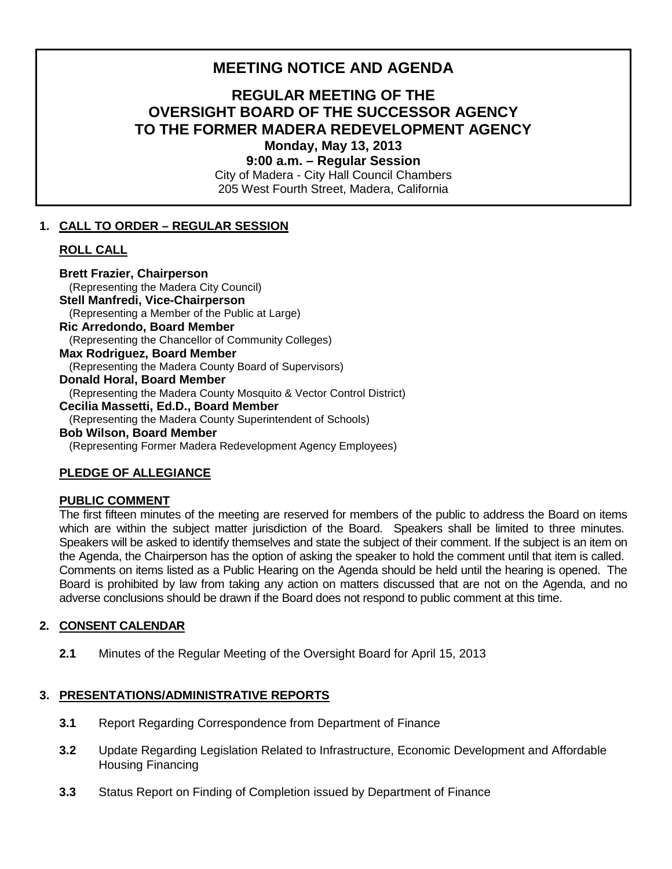# **MEETING NOTICE AND AGENDA**

# **REGULAR MEETING OF THE OVERSIGHT BOARD OF THE SUCCESSOR AGENCY TO THE FORMER MADERA REDEVELOPMENT AGENCY Monday, May 13, 2013**

**9:00 a.m. – Regular Session**

City of Madera - City Hall Council Chambers 205 West Fourth Street, Madera, California

## **1. CALL TO ORDER – REGULAR SESSION**

## **ROLL CALL**

**Brett Frazier, Chairperson** (Representing the Madera City Council) **Stell Manfredi, Vice-Chairperson** (Representing a Member of the Public at Large) **Ric Arredondo, Board Member** (Representing the Chancellor of Community Colleges) **Max Rodriguez, Board Member**  (Representing the Madera County Board of Supervisors) **Donald Horal, Board Member** (Representing the Madera County Mosquito & Vector Control District) **Cecilia Massetti, Ed.D., Board Member** (Representing the Madera County Superintendent of Schools) **Bob Wilson, Board Member** 

#### (Representing Former Madera Redevelopment Agency Employees)

## **PLEDGE OF ALLEGIANCE**

#### **PUBLIC COMMENT**

The first fifteen minutes of the meeting are reserved for members of the public to address the Board on items which are within the subject matter jurisdiction of the Board. Speakers shall be limited to three minutes. Speakers will be asked to identify themselves and state the subject of their comment. If the subject is an item on the Agenda, the Chairperson has the option of asking the speaker to hold the comment until that item is called. Comments on items listed as a Public Hearing on the Agenda should be held until the hearing is opened. The Board is prohibited by law from taking any action on matters discussed that are not on the Agenda, and no adverse conclusions should be drawn if the Board does not respond to public comment at this time.

## **2. CONSENT CALENDAR**

**2.1** Minutes of the Regular Meeting of the Oversight Board for April 15, 2013

# **3. PRESENTATIONS/ADMINISTRATIVE REPORTS**

- **3.1** Report Regarding Correspondence from Department of Finance
- **3.2** Update Regarding Legislation Related to Infrastructure, Economic Development and Affordable Housing Financing
- **3.3** Status Report on Finding of Completion issued by Department of Finance